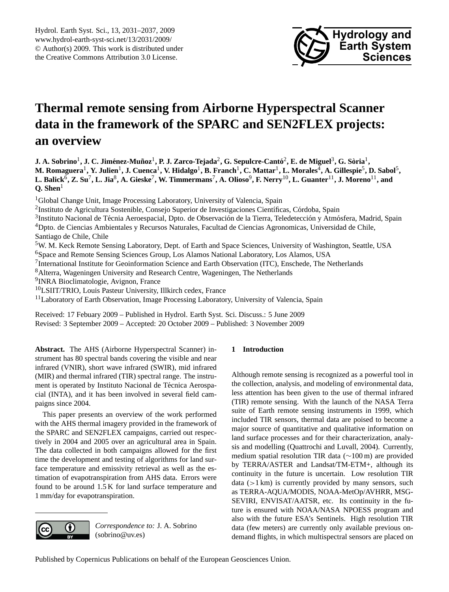

# <span id="page-0-0"></span>**Thermal remote sensing from Airborne Hyperspectral Scanner data in the framework of the SPARC and SEN2FLEX projects: an overview**

 ${\bf J.~A.~Sobrino}^1, {\bf J.~C.~Jim\'enez-Mu\~noz}^1, {\bf P.~J.~Zarco-Tejada}^2, {\bf G.~Sepulcre-Cantô}^2, {\bf E.~de~Miguel}^3, {\bf G.~Sòria}^1,$ M. Romaguera<sup>1</sup>, Y. Julien<sup>1</sup>, J. Cuenca<sup>1</sup>, V. Hidalgo<sup>1</sup>, B. Franch<sup>1</sup>, C. Mattar<sup>1</sup>, L. Morales<sup>4</sup>, A. Gillespie<sup>5</sup>, D. Sabol<sup>5</sup>,  $L$ . Balick $^6$ , Z. Su<sup>7</sup>, L. Jia $^8$ , A. Gieske<sup>7</sup>, W. Timmermans<sup>7</sup>, A. Olioso $^9$ , F. Nerry $^{10}$ , L. Guanter $^{11}$ , J. Moreno $^{11}$ , and **Q. Shen**<sup>1</sup>

<sup>1</sup>Global Change Unit, Image Processing Laboratory, University of Valencia, Spain

<sup>2</sup>Instituto de Agricultura Sostenible, Consejo Superior de Investigaciones Científicas, Córdoba, Spain

<sup>3</sup>Instituto Nacional de Técnia Aeroespacial, Dpto. de Observación de la Tierra, Teledetección y Atmósfera, Madrid, Spain <sup>4</sup>Dpto. de Ciencias Ambientales y Recursos Naturales, Facultad de Ciencias Agronomicas, Universidad de Chile, Santiago de Chile, Chile

<sup>5</sup>W. M. Keck Remote Sensing Laboratory, Dept. of Earth and Space Sciences, University of Washington, Seattle, USA <sup>6</sup>Space and Remote Sensing Sciences Group, Los Alamos National Laboratory, Los Alamos, USA <sup>7</sup>International Institute for Geoinformation Science and Earth Observation (ITC), Enschede, The Netherlands

<sup>8</sup>Alterra, Wageningen University and Research Centre, Wageningen, The Netherlands

<sup>9</sup>INRA Bioclimatologie, Avignon, France

<sup>10</sup>LSIIT/TRIO, Louis Pasteur University, Illkirch cedex, France

 $11$ Laboratory of Earth Observation, Image Processing Laboratory, University of Valencia, Spain

Received: 17 Febuary 2009 – Published in Hydrol. Earth Syst. Sci. Discuss.: 5 June 2009 Revised: 3 September 2009 – Accepted: 20 October 2009 – Published: 3 November 2009

**Abstract.** The AHS (Airborne Hyperspectral Scanner) instrument has 80 spectral bands covering the visible and near infrared (VNIR), short wave infrared (SWIR), mid infrared (MIR) and thermal infrared (TIR) spectral range. The instrument is operated by Instituto Nacional de Técnica Aerospacial (INTA), and it has been involved in several field campaigns since 2004.

This paper presents an overview of the work performed with the AHS thermal imagery provided in the framework of the SPARC and SEN2FLEX campaigns, carried out respectively in 2004 and 2005 over an agricultural area in Spain. The data collected in both campaigns allowed for the first time the development and testing of algorithms for land surface temperature and emissivity retrieval as well as the estimation of evapotranspiration from AHS data. Errors were found to be around 1.5 K for land surface temperature and 1 mm/day for evapotranspiration.



*Correspondence to:* J. A. Sobrino (sobrino@uv.es)

# **1 Introduction**

Although remote sensing is recognized as a powerful tool in the collection, analysis, and modeling of environmental data, less attention has been given to the use of thermal infrared (TIR) remote sensing. With the launch of the NASA Terra suite of Earth remote sensing instruments in 1999, which included TIR sensors, thermal data are poised to become a major source of quantitative and qualitative information on land surface processes and for their characterization, analysis and modelling (Quattrochi and Luvall, 2004). Currently, medium spatial resolution TIR data (∼100 m) are provided by TERRA/ASTER and Landsat/TM-ETM+, although its continuity in the future is uncertain. Low resolution TIR data  $(1 km)$  is currently provided by many sensors, such as TERRA-AQUA/MODIS, NOAA-MetOp/AVHRR, MSG-SEVIRI, ENVISAT/AATSR, etc. Its continuity in the future is ensured with NOAA/NASA NPOESS program and also with the future ESA's Sentinels. High resolution TIR data (few meters) are currently only available previous ondemand flights, in which multispectral sensors are placed on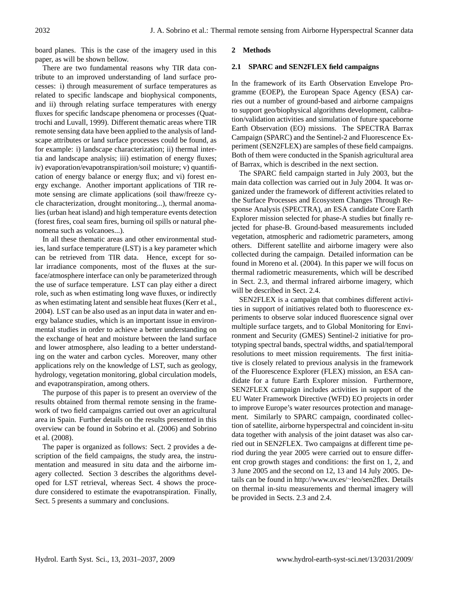board planes. This is the case of the imagery used in this paper, as will be shown bellow.

There are two fundamental reasons why TIR data contribute to an improved understanding of land surface processes: i) through measurement of surface temperatures as related to specific landscape and biophysical components, and ii) through relating surface temperatures with energy fluxes for specific landscape phenomena or processes (Quattrochi and Luvall, 1999). Different thematic areas where TIR remote sensing data have been applied to the analysis of landscape attributes or land surface processes could be found, as for example: i) landscape characterization; ii) thermal intertia and landscape analysis; iii) estimation of energy fluxes; iv) evaporation/evapotranspiration/soil moisture; v) quantification of energy balance or energy flux; and vi) forest energy exchange. Another important applications of TIR remote sensing are climate applications (soil thaw/freeze cycle characterization, drought monitoring...), thermal anomalies (urban heat island) and high temperature events detection (forest fires, coal seam fires, burning oil spills or natural phenomena such as volcanoes...).

In all these thematic areas and other environmental studies, land surface temperature (LST) is a key parameter which can be retrieved from TIR data. Hence, except for solar irradiance components, most of the fluxes at the surface/atmosphere interface can only be parameterized through the use of surface temperature. LST can play either a direct role, such as when estimating long wave fluxes, or indirectly as when estimating latent and sensible heat fluxes (Kerr et al., 2004). LST can be also used as an input data in water and energy balance studies, which is an important issue in environmental studies in order to achieve a better understanding on the exchange of heat and moisture between the land surface and lower atmosphere, also leading to a better understanding on the water and carbon cycles. Moreover, many other applications rely on the knowledge of LST, such as geology, hydrology, vegetation monitoring, global circulation models, and evapotranspiration, among others.

The purpose of this paper is to present an overview of the results obtained from thermal remote sensing in the framework of two field campaigns carried out over an agricultural area in Spain. Further details on the results presented in this overview can be found in Sobrino et al. (2006) and Sobrino et al. (2008).

The paper is organized as follows: Sect. 2 provides a description of the field campaigns, the study area, the instrumentation and measured in situ data and the airborne imagery collected. Section 3 describes the algorithms developed for LST retrieval, whereas Sect. 4 shows the procedure considered to estimate the evapotranspiration. Finally, Sect. 5 presents a summary and conclusions.

## **2 Methods**

#### **2.1 SPARC and SEN2FLEX field campaigns**

In the framework of its Earth Observation Envelope Programme (EOEP), the European Space Agency (ESA) carries out a number of ground-based and airborne campaigns to support geo/biophysical algorithms development, calibration/validation activities and simulation of future spaceborne Earth Observation (EO) missions. The SPECTRA Barrax Campaign (SPARC) and the Sentinel-2 and Fluorescence Experiment (SEN2FLEX) are samples of these field campaigns. Both of them were conducted in the Spanish agricultural area of Barrax, which is described in the next section.

The SPARC field campaign started in July 2003, but the main data collection was carried out in July 2004. It was organized under the framework of different activities related to the Surface Processes and Ecosystem Changes Through Response Analysis (SPECTRA), an ESA candidate Core Earth Explorer mission selected for phase-A studies but finally rejected for phase-B. Ground-based measurements included vegetation, atmospheric and radiometric parameters, among others. Different satellite and airborne imagery were also collected during the campaign. Detailed information can be found in Moreno et al. (2004). In this paper we will focus on thermal radiometric measurements, which will be described in Sect. 2.3, and thermal infrared airborne imagery, which will be described in Sect. 2.4.

SEN2FLEX is a campaign that combines different activities in support of initiatives related both to fluorescence experiments to observe solar induced fluorescence signal over multiple surface targets, and to Global Monitoring for Environment and Security (GMES) Sentinel-2 initiative for prototyping spectral bands, spectral widths, and spatial/temporal resolutions to meet mission requirements. The first initiative is closely related to previous analysis in the framework of the Fluorescence Explorer (FLEX) mission, an ESA candidate for a future Earth Explorer mission. Furthermore, SEN2FLEX campaign includes activities in support of the EU Water Framework Directive (WFD) EO projects in order to improve Europe's water resources protection and management. Similarly to SPARC campaign, coordinated collection of satellite, airborne hyperspectral and coincident in-situ data together with analysis of the joint dataset was also carried out in SEN2FLEX. Two campaigns at different time period during the year 2005 were carried out to ensure different crop growth stages and conditions: the first on 1, 2, and 3 June 2005 and the second on 12, 13 and 14 July 2005. Details can be found in [http://www.uv.es/](http://www.uv.es/~leo/sen2flex)∼leo/sen2flex. Details on thermal in-situ measurements and thermal imagery will be provided in Sects. 2.3 and 2.4.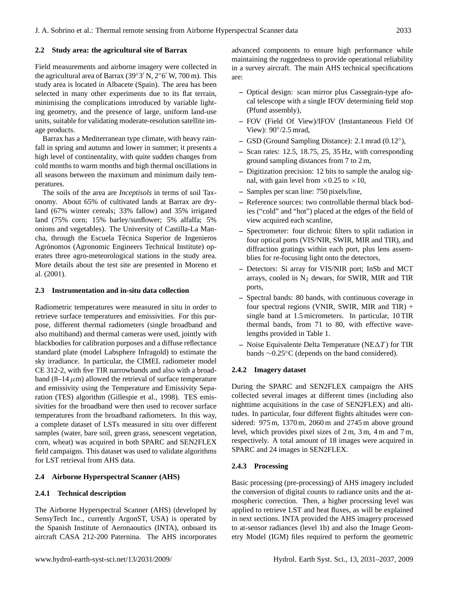## **2.2 Study area: the agricultural site of Barrax**

Field measurements and airborne imagery were collected in the agricultural area of Barrax (39°3′ N, 2°6′ W, 700 m). This study area is located in Albacete (Spain). The area has been selected in many other experiments due to its flat terrain, minimising the complications introduced by variable lighting geometry, and the presence of large, uniform land-use units, suitable for validating moderate-resolution satellite image products.

Barrax has a Mediterranean type climate, with heavy rainfall in spring and autumn and lower in summer; it presents a high level of continentality, with quite sudden changes from cold months to warm months and high thermal oscillations in all seasons between the maximum and minimum daily temperatures.

The soils of the area are *Inceptisols* in terms of soil Taxonomy. About 65% of cultivated lands at Barrax are dryland (67% winter cereals; 33% fallow) and 35% irrigated land (75% corn; 15% barley/sunflower; 5% alfalfa; 5% onions and vegetables). The University of Castilla-La Mancha, through the Escuela Técnica Superior de Ingenieros Agrónomos (Agronomic Engineers Technical Institute) operates three agro-meteorological stations in the study area. More details about the test site are presented in Moreno et al. (2001).

## **2.3 Instrumentation and in-situ data collection**

Radiometric temperatures were measured in situ in order to retrieve surface temperatures and emissivities. For this purpose, different thermal radiometers (single broadband and also multiband) and thermal cameras were used, jointly with blackbodies for calibration purposes and a diffuse reflectance standard plate (model Labsphere Infragold) to estimate the sky irradiance. In particular, the CIMEL radiometer model CE 312-2, with five TIR narrowbands and also with a broadband (8–14  $\mu$ m) allowed the retrieval of surface temperature and emissivity using the Temperature and Emissivity Separation (TES) algorithm (Gillespie et al., 1998). TES emissivities for the broadband were then used to recover surface temperatures from the broadband radiometers. In this way, a complete dataset of LSTs measured in situ over different samples (water, bare soil, green grass, senescent vegetation, corn, wheat) was acquired in both SPARC and SEN2FLEX field campaigns. This dataset was used to validate algorithms for LST retrieval from AHS data.

### **2.4 Airborne Hyperspectral Scanner (AHS)**

## **2.4.1 Technical description**

The Airborne Hyperspectral Scanner (AHS) (developed by SensyTech Inc., currently ArgonST, USA) is operated by the Spanish Institute of Aeronaoutics (INTA), onboard its aircraft CASA 212-200 Paternina. The AHS incorporates advanced components to ensure high performance while maintaining the ruggedness to provide operational reliability in a survey aircraft. The main AHS technical specifications are:

- **–** Optical design: scan mirror plus Cassegrain-type afocal telescope with a single IFOV determining field stop (Pfund assembly),
- **–** FOV (Field Of View)/IFOV (Instantaneous Field Of View): 90°/2.5 mrad,
- **–** GSD (Ground Sampling Distance): 2.1 mrad (0.12◦ ),
- **–** Scan rates: 12.5, 18.75, 25, 35 Hz, with corresponding ground sampling distances from 7 to 2 m,
- **–** Digitization precision: 12 bits to sample the analog signal, with gain level from  $\times 0.25$  to  $\times 10$ ,
- **–** Samples per scan line: 750 pixels/line,
- **–** Reference sources: two controllable thermal black bodies ("cold" and "hot") placed at the edges of the field of view acquired each scanline,
- **–** Spectrometer: four dichroic filters to split radiation in four optical ports (VIS/NIR, SWIR, MIR and TIR), and diffraction gratings within each port, plus lens assemblies for re-focusing light onto the detectors,
- **–** Detectors: Si array for VIS/NIR port; InSb and MCT arrays, cooled in  $N_2$  dewars, for SWIR, MIR and TIR ports,
- **–** Spectral bands: 80 bands, with continuous coverage in four spectral regions (VNIR, SWIR, MIR and TIR) + single band at 1.5 micrometers. In particular, 10 TIR thermal bands, from 71 to 80, with effective wavelengths provided in Table 1.
- $-$  Noise Equivalente Delta Temperature (NE $\Delta T$ ) for TIR bands ∼0.25◦C (depends on the band considered).

### **2.4.2 Imagery dataset**

During the SPARC and SEN2FLEX campaigns the AHS collected several images at different times (including also nighttime acquisitions in the case of SEN2FLEX) and altitudes. In particular, four different flights altitudes were considered: 975 m, 1370 m, 2060 m and 2745 m above ground level, which provides pixel sizes of 2 m, 3 m, 4 m and 7 m, respectively. A total amount of 18 images were acquired in SPARC and 24 images in SEN2FLEX.

### **2.4.3 Processing**

Basic processing (pre-processing) of AHS imagery included the conversion of digital counts to radiance units and the atmospheric correction. Then, a higher processing level was applied to retrieve LST and heat fluxes, as will be explained in next sections. INTA provided the AHS imagery processed to at-sensor radiances (level 1b) and also the Image Geometry Model (IGM) files required to perform the geometric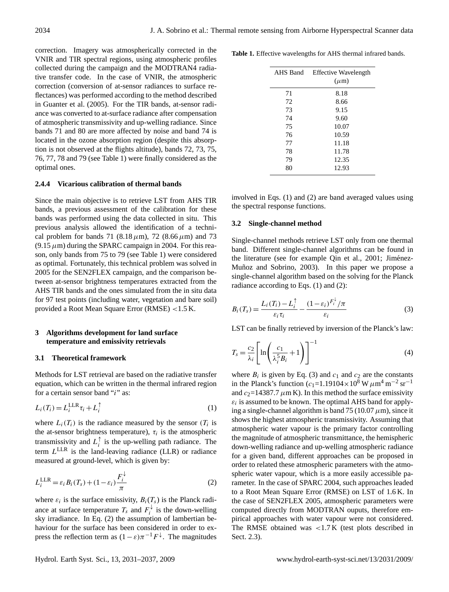correction. Imagery was atmospherically corrected in the VNIR and TIR spectral regions, using atmospheric profiles collected during the campaign and the MODTRAN4 radiative transfer code. In the case of VNIR, the atmospheric correction (conversion of at-sensor radiances to surface reflectances) was performed according to the method described in Guanter et al. (2005). For the TIR bands, at-sensor radiance was converted to at-surface radiance after compensation of atmospheric transmissivity and up-welling radiance. Since bands 71 and 80 are more affected by noise and band 74 is located in the ozone absorption region (despite this absorption is not observed at the flights altitude), bands 72, 73, 75, 76, 77, 78 and 79 (see Table 1) were finally considered as the optimal ones.

## **2.4.4 Vicarious calibration of thermal bands**

Since the main objective is to retrieve LST from AHS TIR bands, a previous assessment of the calibration for these bands was performed using the data collected in situ. This previous analysis allowed the identification of a technical problem for bands 71 (8.18  $\mu$ m), 72 (8.66  $\mu$ m) and 73  $(9.15 \,\mu\text{m})$  during the SPARC campaign in 2004. For this reason, only bands from 75 to 79 (see Table 1) were considered as optimal. Fortunately, this technical problem was solved in 2005 for the SEN2FLEX campaign, and the comparison between at-sensor brightness temperatures extracted from the AHS TIR bands and the ones simulated from the in situ data for 97 test points (including water, vegetation and bare soil) provided a Root Mean Square Error (RMSE) <1.5 K.

## **3 Algorithms development for land surface temperature and emissivity retrievals**

#### **3.1 Theoretical framework**

Methods for LST retrieval are based on the radiative transfer equation, which can be written in the thermal infrared region for a certain sensor band "i" as:

$$
L_i(T_i) = L_i^{\text{LLR}} \tau_i + L_i^{\uparrow} \tag{1}
$$

where  $L_i(T_i)$  is the radiance measured by the sensor  $(T_i$  is the at-sensor brightness temperature),  $\tau_i$  is the atmospheric transmissivity and  $L_i^{\uparrow}$  $i$  is the up-welling path radiance. The term  $L^{\text{LLR}}$  is the land-leaving radiance (LLR) or radiance measured at ground-level, which is given by:

$$
L_i^{\text{LLR}} = \varepsilon_i B_i(T_s) + (1 - \varepsilon_i) \frac{F_i^{\downarrow}}{\pi}
$$
 (2)

where  $\varepsilon_i$  is the surface emissivity,  $B_i(T_s)$  is the Planck radiance at surface temperature  $T_s$  and  $F_i^{\downarrow}$  $\chi_i^*$  is the down-welling sky irradiance. In Eq. (2) the assumption of lambertian behaviour for the surface has been considered in order to express the reflection term as  $(1 - \varepsilon)\pi^{-1}F^{\downarrow}$ . The magnitudes

**Table 1.** Effective wavelengths for AHS thermal infrared bands.

| AHS Band | <b>Effective Wavelength</b><br>$(\mu m)$ |
|----------|------------------------------------------|
| 71       | 8.18                                     |
| 72       | 8.66                                     |
| 73       | 9.15                                     |
| 74       | 9.60                                     |
| 75       | 10.07                                    |
| 76       | 10.59                                    |
| 77       | 11.18                                    |
| 78       | 11.78                                    |
| 79       | 12.35                                    |
| 80       | 12.93                                    |

involved in Eqs. (1) and (2) are band averaged values using the spectral response functions.

## **3.2 Single-channel method**

Single-channel methods retrieve LST only from one thermal band. Different single-channel algorithms can be found in the literature (see for example Qin et al., 2001; Jiménez-Muñoz and Sobrino, 2003). In this paper we propose a single-channel algorithm based on the solving for the Planck radiance according to Eqs. (1) and (2):

$$
B_i(T_s) = \frac{L_i(T_i) - L_i^{\uparrow}}{\varepsilon_i \tau_i} - \frac{(1 - \varepsilon_i)^{F_i^{\downarrow}}/\pi}{\varepsilon_i} \tag{3}
$$

LST can be finally retrieved by inversion of the Planck's law:

$$
T_s = \frac{c_2}{\lambda_i} \left[ \ln \left( \frac{c_1}{\lambda_i^5 B_i} + 1 \right) \right]^{-1} \tag{4}
$$

where  $B_i$  is given by Eq. (3) and  $c_1$  and  $c_2$  are the constants in the Planck's function ( $c_1$ =1.19104×10<sup>8</sup> W  $\mu$ m<sup>4</sup> m<sup>-2</sup> sr<sup>-1</sup> and  $c_2$ =14387.7  $\mu$ m K). In this method the surface emissivity  $\varepsilon_i$  is assumed to be known. The optimal AHS band for applying a single-channel algorithm is band 75 (10.07  $\mu$ m), since it shows the highest atmospheric transmissivity. Assuming that atmospheric water vapour is the primary factor controlling the magnitude of atmospheric transmittance, the hemispheric down-welling radiance and up-welling atmospheric radiance for a given band, different approaches can be proposed in order to related these atmospheric parameters with the atmospheric water vapour, which is a more easily accessible parameter. In the case of SPARC 2004, such approaches leaded to a Root Mean Square Error (RMSE) on LST of 1.6 K. In the case of SEN2FLEX 2005, atmospheric parameters were computed directly from MODTRAN ouputs, therefore empirical approaches with water vapour were not considered. The RMSE obtained was  $\langle 1.7 K \rangle$  (test plots described in Sect. 2.3).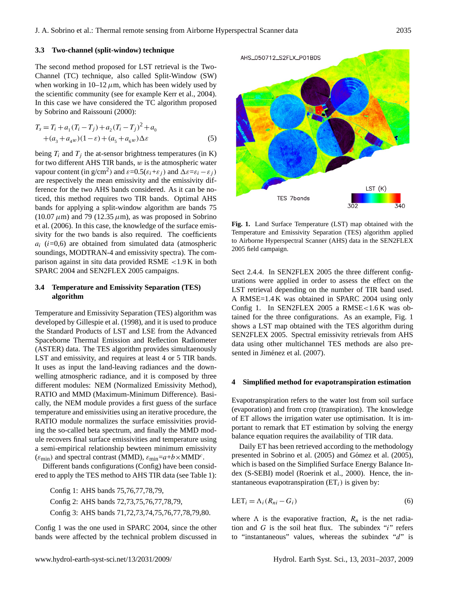## **3.3 Two-channel (split-window) technique**

The second method proposed for LST retrieval is the Two-Channel (TC) technique, also called Split-Window (SW) when working in  $10-12 \mu m$ , which has been widely used by the scientific community (see for example Kerr et al., 2004). In this case we have considered the TC algorithm proposed by Sobrino and Raissouni (2000):

$$
T_s = T_i + a_1 (T_i - T_j) + a_2 (T_i - T_j)^2 + a_0
$$
  
 
$$
+ (a_3 + a_4 w)(1 - \varepsilon) + (a_5 + a_6 w) \Delta \varepsilon
$$
 (5)

being  $T_i$  and  $T_j$  the at-sensor brightness temperatures (in K) for two different AHS TIR bands,  $w$  is the atmospheric water vapour content (in g/cm<sup>2</sup>) and  $\varepsilon = 0.5(\varepsilon_i + \varepsilon_j)$  and  $\Delta \varepsilon = \varepsilon_i - \varepsilon_j$ ) are respectively the mean emissivity and the emissivity difference for the two AHS bands considered. As it can be noticed, this method requires two TIR bands. Optimal AHS bands for applying a split-window algorithm are bands 75  $(10.07 \,\mu\text{m})$  and 79 (12.35  $\mu$ m), as was proposed in Sobrino et al. (2006). In this case, the knowledge of the surface emissivity for the two bands is also required. The coefficients  $a_i$  (i=0,6) are obtained from simulated data (atmospheric soundings, MODTRAN-4 and emissivity spectra). The comparison against in situ data provided RSME <1.9 K in both SPARC 2004 and SEN2FLEX 2005 campaigns.

## **3.4 Temperature and Emissivity Separation (TES) algorithm**

Temperature and Emissivity Separation (TES) algorithm was developed by Gillespie et al. (1998), and it is used to produce the Standard Products of LST and LSE from the Advanced Spaceborne Thermal Emission and Reflection Radiometer (ASTER) data. The TES algorithm provides simultaenously LST and emissivity, and requires at least 4 or 5 TIR bands. It uses as input the land-leaving radiances and the downwelling atmospheric radiance, and it is composed by three different modules: NEM (Normalized Emissivity Method), RATIO and MMD (Maximum-Minimum Difference). Basically, the NEM module provides a first guess of the surface temperature and emissivities using an iterative procedure, the RATIO module normalizes the surface emissivities providing the so-called beta spectrum, and finally the MMD module recovers final surface emissivities and temperature using a semi-empirical relationship bewteen minimum emissivity  $(\varepsilon_{\min})$  and spectral contrast (MMD),  $\varepsilon_{\min} = a+b \times \text{MMD}^c$ .

Different bands configurations (Config) have been considered to apply the TES method to AHS TIR data (see Table 1):

Config 1: AHS bands 75,76,77,78,79, Config 2: AHS bands 72,73,75,76,77,78,79, Config 3: AHS bands 71,72,73,74,75,76,77,78,79,80.

Config 1 was the one used in SPARC 2004, since the other bands were affected by the technical problem discussed in

LST (K) TFS 7bands 340

to Airborne Hyperspectral Scanner (AHS) data in the SEN2FLEX 2005 field campaign. **Fig. 1.** Land Surface Temperature (LST) map obtained with the Temperature and Emissivity Separation (TES) algorithm applied

tained for the three configurations. As an example, Fig. 1 Sect 2.4.4. In SEN2FLEX 2005 the three different configurations were applied in order to assess the effect on the LST retrieval depending on the number of TIR band used. A RMSE=1.4 K was obtained in SPARC 2004 using only Config 1. In SEN2FLEX 2005 a RMSE<1.6 K was obshows a LST map obtained with the TES algorithm during SEN2FLEX 2005. Spectral emissivity retrievals from AHS data using other multichannel TES methods are also presented in Jiménez et al. (2007).

## **4 Simplified method for evapotranspiration estimation**

Evapotranspiration refers to the water lost from soil surface (evaporation) and from crop (transpiration). The knowledge of ET allows the irrigation water use optimisation. It is important to remark that ET estimation by solving the energy balance equation requires the availability of TIR data.

Daily ET has been retrieved according to the methodology presented in Sobrino et al. (2005) and Gómez et al. (2005), which is based on the Simplified Surface Energy Balance Index (S-SEBI) model (Roerink et al., 2000). Hence, the instantaneous evapotranspiration  $(ET<sub>i</sub>)$  is given by:

$$
LET_i = \Lambda_i (R_{ni} - G_i)
$$
 (6)

where  $\Lambda$  is the evaporative fraction,  $R_n$  is the net radiation and  $G$  is the soil heat flux. The subindex "i" refers to "instantaneous" values, whereas the subindex "d" is

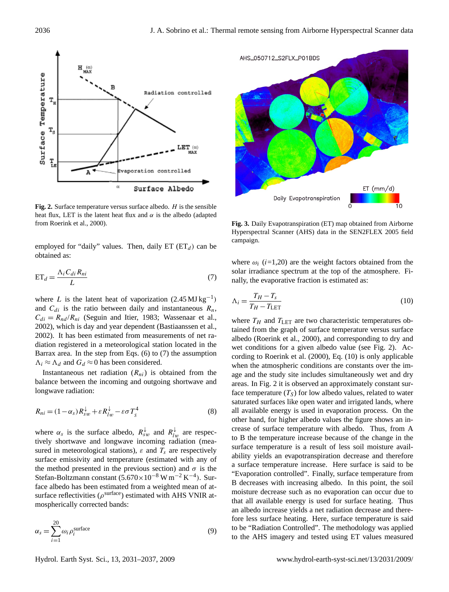

**Fig. 2.** Surface temperature versus surface albedo.  $H$  is the sensible 462 latent heat flux and α is the albedo (adapted from Roerink et al., 2000). from Roerink et al., 2000). heat flux, LET is the latent heat flux and  $\alpha$  is the albedo (adapted

employed for "daily" values. Then, daily  $ET \, (ET_d)$  can be obtained as:

$$
ET_d = \frac{\Lambda_i C_{di} R_{ni}}{L} \tag{7}
$$

where L is the latent heat of vaporization  $(2.45 \text{ MJ kg}^{-1})$ and  $C_{di}$  is the ratio between daily and instantaneous  $R_n$ ,  $C_{di} = R_{nd}/R_{ni}$  (Seguin and Itier, 1983; Wassenaar et al., 2002), which is day and year dependent (Bastiaanssen et al., 2002). It has been estimated from measurements of net radiation registered in a meteorological station located in the Barrax area. In the step from Eqs. (6) to (7) the assumption  $\Lambda_i \approx \Lambda_d$  and  $G_d \approx 0$  has been considered.

Instantaneous net radiation  $(R_{ni})$  is obtained from the balance between the incoming and outgoing shortwave and longwave radiation:

$$
R_{ni} = (1 - \alpha_s)R_{sw}^{\downarrow} + \varepsilon R_{lw}^{\downarrow} - \varepsilon \sigma T_s^4
$$
 (8)

where  $\alpha_s$  is the surface albedo,  $R_{sw}^{\downarrow}$  and  $R_{lw}^{\downarrow}$  are respectively shortwave and longwave incoming radiation (measured in meteorological stations),  $\varepsilon$  and  $T_s$  are respectively surface emissivity and temperature (estimated with any of the method presented in the previous section) and  $\sigma$  is the Stefan-Boltzmann constant  $(5.670 \times 10^{-8} \,\mathrm{W} \,\mathrm{m}^{-2} \,\mathrm{K}^{-4})$ . Surface albedo has been estimated from a weighted mean of atsurface reflectivities ( $\rho^{\text{surface}}$ ) estimated with AHS VNIR atmospherically corrected bands:

$$
\alpha_s = \sum_{i=1}^{20} \omega_i \rho_i^{\text{surface}} \tag{9}
$$



campaign. **Fig. 3.** Daily Evapotranspiration (ET) map obtained from Airborne Hyperspectral Scanner (AHS) data in the SEN2FLEX 2005 field

where  $\omega_i$  (i=1,20) are the weight factors obtained from the solar irradiance spectrum at the top of the atmosphere. Finally, the evaporative fraction is estimated as:

$$
\Lambda_i = \frac{T_H - T_s}{T_H - T_{\text{LET}}}
$$
\n(10)

to B the temperature increase because of the change in the 21.<br>
where  $T_H$  and  $T_{\text{LET}}$  are two characteristic temperatures of<br>
1.<br>
at,<br>
at,<br>
tined from the graph of surface temperature versus surface<br>
the<br>
we conditions for a given albedo value (see Fig. 2). A<br>
cording to Roeri where  $T_H$  and  $T_{\text{LET}}$  are two characteristic temperatures obtained from the graph of surface temperature versus surface albedo (Roerink et al., 2000), and corresponding to dry and wet conditions for a given albedo value (see Fig. 2). According to Roerink et al. (2000), Eq. (10) is only applicable when the atmospheric conditions are constants over the image and the study site includes simultaneously wet and dry areas. In Fig. 2 it is observed an approximately constant surface temperature  $(T<sub>S</sub>)$  for low albedo values, related to water saturated surfaces like open water and irrigated lands, where all available energy is used in evaporation process. On the other hand, for higher albedo values the figure shows an increase of surface temperature with albedo. Thus, from A surface temperature is a result of less soil moisture availability yields an evapotranspiration decrease and therefore a surface temperature increase. Here surface is said to be "Evaporation controlled". Finally, surface temperature from B decreases with increasing albedo. In this point, the soil moisture decrease such as no evaporation can occur due to that all available energy is used for surface heating. Thus an albedo increase yields a net radiation decrease and therefore less surface heating. Here, surface temperature is said to be "Radiation Controlled". The methodology was applied to the AHS imagery and tested using ET values measured